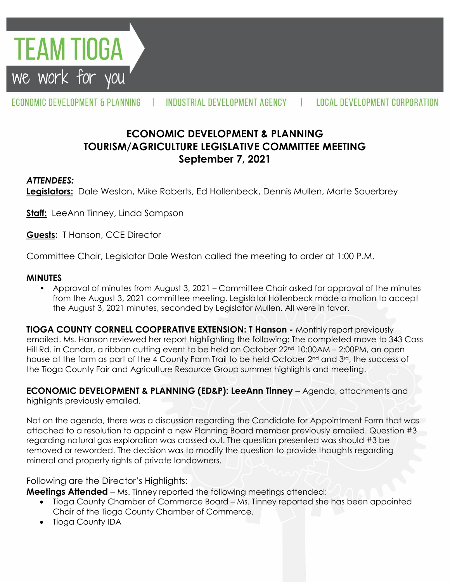

ECONOMIC DEVELOPMENT & PLANNING INDUSTRIAL DEVELOPMENT AGENCY  $\mathbf{r}$ 

# **ECONOMIC DEVELOPMENT & PLANNING TOURISM/AGRICULTURE LEGISLATIVE COMMITTEE MEETING September 7, 2021**

#### *ATTENDEES:*

**Legislators:** Dale Weston, Mike Roberts, Ed Hollenbeck, Dennis Mullen, Marte Sauerbrey

**Staff:** LeeAnn Tinney, Linda Sampson

**Guests:** T Hanson, CCE Director

Committee Chair, Legislator Dale Weston called the meeting to order at 1:00 P.M.

#### **MINUTES**

• Approval of minutes from August 3, 2021 – Committee Chair asked for approval of the minutes from the August 3, 2021 committee meeting. Legislator Hollenbeck made a motion to accept the August 3, 2021 minutes, seconded by Legislator Mullen. All were in favor.

**TIOGA COUNTY CORNELL COOPERATIVE EXTENSION: T Hanson -** Monthly report previously emailed. Ms. Hanson reviewed her report highlighting the following: The completed move to 343 Cass Hill Rd. in Candor, a ribbon cutting event to be held on October 22<sup>nd</sup> 10:00AM – 2:00PM, an open house at the farm as part of the 4 County Farm Trail to be held October 2<sup>nd</sup> and 3<sup>rd</sup>, the success of the Tioga County Fair and Agriculture Resource Group summer highlights and meeting.

**ECONOMIC DEVELOPMENT & PLANNING (ED&P): LeeAnn Tinney** – Agenda, attachments and highlights previously emailed.

Not on the agenda, there was a discussion regarding the Candidate for Appointment Form that was attached to a resolution to appoint a new Planning Board member previously emailed. Question #3 regarding natural gas exploration was crossed out. The question presented was should #3 be removed or reworded. The decision was to modify the question to provide thoughts regarding mineral and property rights of private landowners.

Following are the Director's Highlights:

**Meetings Attended** – Ms. Tinney reported the following meetings attended:

- Tioga County Chamber of Commerce Board Ms. Tinney reported she has been appointed Chair of the Tioga County Chamber of Commerce.
- Tioga County IDA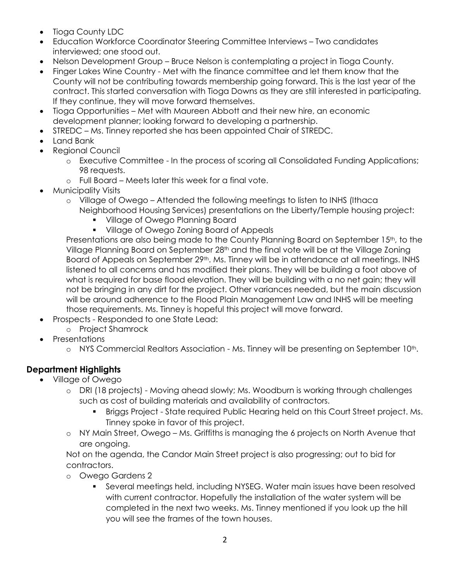- Tioga County LDC
- Education Workforce Coordinator Steering Committee Interviews Two candidates interviewed; one stood out.
- Nelson Development Group Bruce Nelson is contemplating a project in Tioga County.
- Finger Lakes Wine Country Met with the finance committee and let them know that the County will not be contributing towards membership going forward. This is the last year of the contract. This started conversation with Tioga Downs as they are still interested in participating. If they continue, they will move forward themselves.
- Tioga Opportunities Met with Maureen Abbott and their new hire, an economic development planner; looking forward to developing a partnership.
- STREDC Ms. Tinney reported she has been appointed Chair of STREDC.
- Land Bank
- Regional Council
	- o Executive Committee In the process of scoring all Consolidated Funding Applications; 98 requests.
	- o Full Board Meets later this week for a final vote.
- Municipality Visits
	- o Village of Owego Attended the following meetings to listen to INHS (Ithaca Neighborhood Housing Services) presentations on the Liberty/Temple housing project:
		- **Village of Owego Planning Board**
		- **Village of Owego Zoning Board of Appeals**

Presentations are also being made to the County Planning Board on September 15<sup>th</sup>, to the Village Planning Board on September 28<sup>th</sup> and the final vote will be at the Village Zoning Board of Appeals on September 29<sup>th</sup>. Ms. Tinney will be in attendance at all meetings. INHS listened to all concerns and has modified their plans. They will be building a foot above of what is required for base flood elevation. They will be building with a no net gain; they will not be bringing in any dirt for the project. Other variances needed, but the main discussion will be around adherence to the Flood Plain Management Law and INHS will be meeting those requirements. Ms. Tinney is hopeful this project will move forward.

- Prospects Responded to one State Lead:
	- o Project Shamrock
- **Presentations** 
	- o NYS Commercial Realtors Association Ms. Tinney will be presenting on September 10th.

## **Department Highlights**

- Village of Owego
	- o DRI (18 projects) Moving ahead slowly; Ms. Woodburn is working through challenges such as cost of building materials and availability of contractors.
		- Briggs Project State required Public Hearing held on this Court Street project. Ms. Tinney spoke in favor of this project.
	- o NY Main Street, Owego Ms. Griffiths is managing the 6 projects on North Avenue that are ongoing.

Not on the agenda, the Candor Main Street project is also progressing; out to bid for contractors.

- o Owego Gardens 2
	- Several meetings held, including NYSEG. Water main issues have been resolved with current contractor. Hopefully the installation of the water system will be completed in the next two weeks. Ms. Tinney mentioned if you look up the hill you will see the frames of the town houses.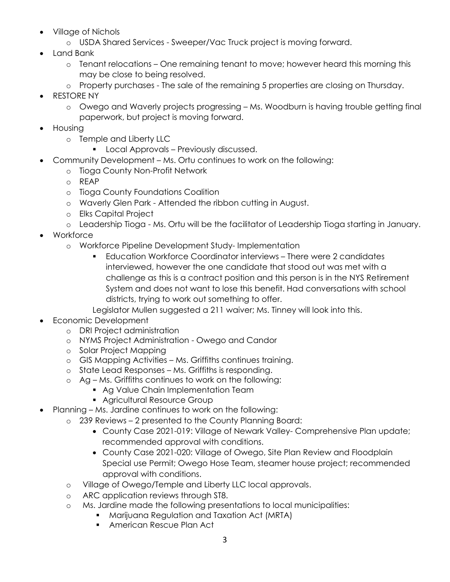- Village of Nichols
	- o USDA Shared Services Sweeper/Vac Truck project is moving forward.
- Land Bank
	- o Tenant relocations One remaining tenant to move; however heard this morning this may be close to being resolved.
	- o Property purchases The sale of the remaining 5 properties are closing on Thursday.
- RESTORE NY
	- o Owego and Waverly projects progressing Ms. Woodburn is having trouble getting final paperwork, but project is moving forward.
- Housing
	- o Temple and Liberty LLC
		- **Local Approvals Previously discussed.**
- Community Development Ms. Ortu continues to work on the following:
	- o Tioga County Non-Profit Network
	- o REAP
	- o Tioga County Foundations Coalition
	- o Waverly Glen Park Attended the ribbon cutting in August.
	- o Elks Capital Project
	- o Leadership Tioga Ms. Ortu will be the facilitator of Leadership Tioga starting in January.
- Workforce
	- o Workforce Pipeline Development Study- Implementation
		- Education Workforce Coordinator interviews There were 2 candidates interviewed, however the one candidate that stood out was met with a challenge as this is a contract position and this person is in the NYS Retirement System and does not want to lose this benefit. Had conversations with school districts, trying to work out something to offer.
		- Legislator Mullen suggested a 211 waiver; Ms. Tinney will look into this.
- Economic Development
	- o DRI Project administration
	- o NYMS Project Administration Owego and Candor
	- o Solar Project Mapping
	- o GIS Mapping Activities Ms. Griffiths continues training.
	- o State Lead Responses Ms. Griffiths is responding.
	- o Ag Ms. Griffiths continues to work on the following:
		- **Ag Value Chain Implementation Team**
		- Agricultural Resource Group
	- Planning Ms. Jardine continues to work on the following:
		- o 239 Reviews 2 presented to the County Planning Board:
			- County Case 2021-019: Village of Newark Valley- Comprehensive Plan update; recommended approval with conditions.
			- County Case 2021-020: Village of Owego, Site Plan Review and Floodplain Special use Permit; Owego Hose Team, steamer house project; recommended approval with conditions.
			- o Village of Owego/Temple and Liberty LLC local approvals.
			- o ARC application reviews through ST8.
			- o Ms. Jardine made the following presentations to local municipalities:
				- **Marijuana Regulation and Taxation Act (MRTA)**
				- **American Rescue Plan Act**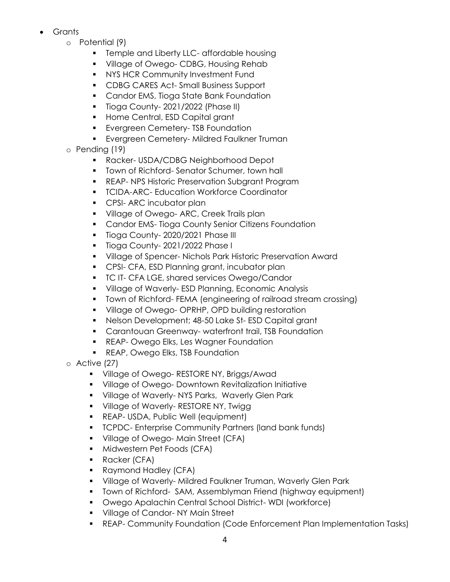- **Grants** 
	- o Potential (9)
		- **Temple and Liberty LLC- affordable housing**
		- **Village of Owego- CDBG, Housing Rehab**
		- **NYS HCR Community Investment Fund**
		- **CDBG CARES Act-Small Business Support**
		- **Candor EMS, Tioga State Bank Foundation**
		- **Tioga County-2021/2022 (Phase II)**
		- **Home Central, ESD Capital grant**
		- **Exergreen Cemetery- TSB Foundation**
		- **Exergreen Cemetery-Mildred Faulkner Truman**
	- o Pending (19)
		- Racker- USDA/CDBG Neighborhood Depot
		- **Town of Richford- Senator Schumer, town hall**
		- **REAP- NPS Historic Preservation Subgrant Program**
		- **TCIDA-ARC- Education Workforce Coordinator**
		- **CPSI-ARC incubator plan**
		- **Village of Owego-ARC, Creek Trails plan**
		- **Candor EMS-Tioga County Senior Citizens Foundation**
		- **Tioga County-2020/2021 Phase III**
		- **Tioga County-2021/2022 Phase I**
		- Village of Spencer- Nichols Park Historic Preservation Award
		- **CPSI- CFA, ESD Planning grant, incubator plan**
		- **TC IT- CFA LGE, shared services Owego/Candor**
		- Village of Waverly- ESD Planning, Economic Analysis
		- Town of Richford- FEMA (engineering of railroad stream crossing)
		- **Village of Owego- OPRHP, OPD building restoration**
		- Nelson Development; 48-50 Lake St- ESD Capital grant
		- **Carantouan Greenway- waterfront trail, TSB Foundation**
		- **REAP- Owego Elks, Les Wagner Foundation**
		- **REAP, Owego Elks, TSB Foundation**
	- o Active (27)
		- **Village of Owego- RESTORE NY, Briggs/Awad**
		- Village of Owego- Downtown Revitalization Initiative
		- **Village of Waverly-NYS Parks, Waverly Glen Park**
		- **Village of Waverly- RESTORE NY, Twigg**
		- **REAP- USDA, Public Well (equipment)**
		- **TCPDC- Enterprise Community Partners (land bank funds)**
		- **Village of Owego-Main Street (CFA)**
		- **Midwestern Pet Foods (CFA)**
		- **Racker (CFA)**
		- Raymond Hadley (CFA)
		- Village of Waverly- Mildred Faulkner Truman, Waverly Glen Park
		- Town of Richford- SAM, Assemblyman Friend (highway equipment)
		- Owego Apalachin Central School District- WDI (workforce)
		- **Village of Candor-NY Main Street**
		- REAP- Community Foundation (Code Enforcement Plan Implementation Tasks)